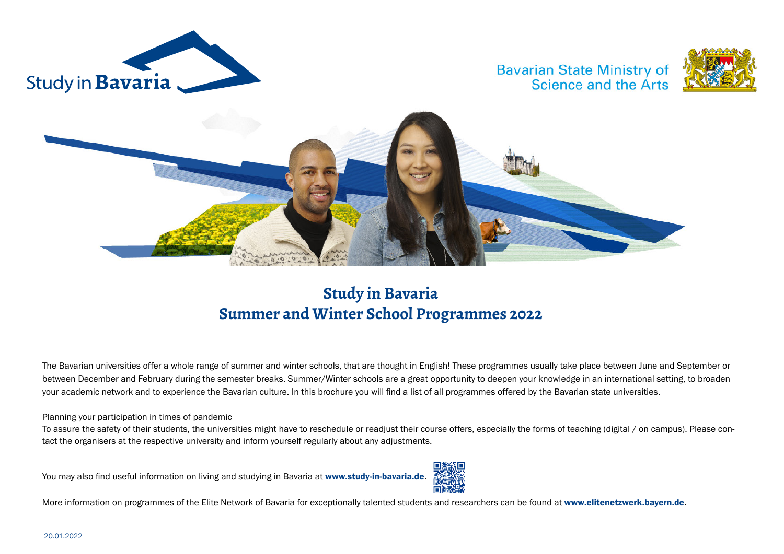

**Bavarian State Ministry of** Science and the Arts





#### **Study in Bavaria Summer and Winter School Programmes 2022**

The Bavarian universities offer a whole range of summer and winter schools, that are thought in English! These programmes usually take place between June and September or between December and February during the semester breaks. Summer/Winter schools are a great opportunity to deepen your knowledge in an international setting, to broaden your academic network and to experience the Bavarian culture. In this brochure you will find a list of all programmes offered by the Bavarian state universities.

#### Planning your participation in times of pandemic

To assure the safety of their students, the universities might have to reschedule or readjust their course offers, especially the forms of teaching (digital / on campus). Please contact the organisers at the respective university and inform yourself regularly about any adjustments.

You may also find useful information on living and studying in Bavaria at [www.study-in-bavaria.de](http://www.study-in-bavaria.de).



More information on programmes of the Elite Network of Bavaria for exceptionally talented students and researchers can be found at [www.elitenetzwerk.bayern.de.](https://www.elitenetzwerk.bayern.de/elitenetzwerk-home/elitenetzwerk-home/)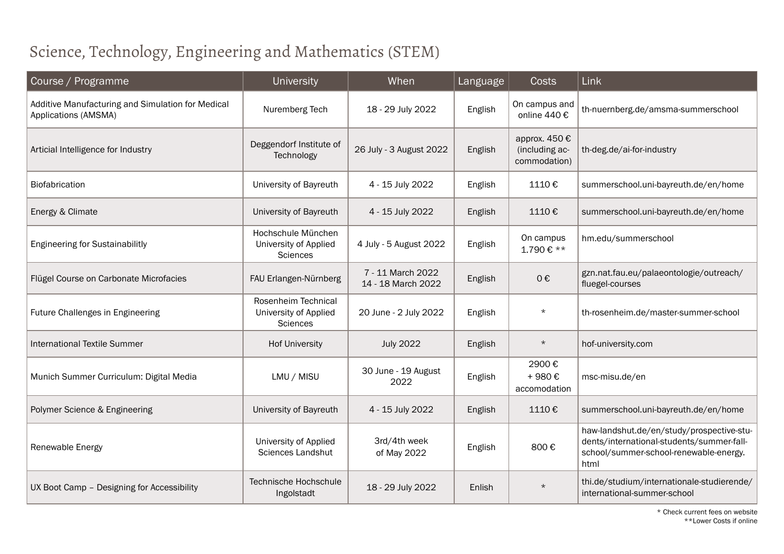# Science, Technology, Engineering and Mathematics (STEM)

| Course / Programme                                                        | University                                                     | When                                    | Language | <b>Costs</b>                                    | Link                                                                                                                                     |  |
|---------------------------------------------------------------------------|----------------------------------------------------------------|-----------------------------------------|----------|-------------------------------------------------|------------------------------------------------------------------------------------------------------------------------------------------|--|
| Additive Manufacturing and Simulation for Medical<br>Applications (AMSMA) | Nuremberg Tech                                                 | 18 - 29 July 2022                       | English  | On campus and<br>online 440 €                   | th-nuernberg.de/amsma-summerschool                                                                                                       |  |
| Articial Intelligence for Industry                                        | Deggendorf Institute of<br>Technology                          | 26 July - 3 August 2022                 | English  | approx. 450 €<br>(including ac-<br>commodation) | th-deg.de/ai-for-industry                                                                                                                |  |
| Biofabrication                                                            | University of Bayreuth                                         | 4 - 15 July 2022                        | English  | 1110€                                           | summerschool.uni-bayreuth.de/en/home                                                                                                     |  |
| Energy & Climate                                                          | University of Bayreuth                                         | 4 - 15 July 2022                        | English  | 1110€                                           | summerschool.uni-bayreuth.de/en/home                                                                                                     |  |
| <b>Engineering for Sustainabilitly</b>                                    | Hochschule München<br>University of Applied<br><b>Sciences</b> | 4 July - 5 August 2022                  | English  | On campus<br>1.790€ **                          | hm.edu/summerschool                                                                                                                      |  |
| Flügel Course on Carbonate Microfacies                                    | FAU Erlangen-Nürnberg                                          | 7 - 11 March 2022<br>14 - 18 March 2022 | English  | 0€                                              | gzn.nat.fau.eu/palaeontologie/outreach/<br>fluegel-courses                                                                               |  |
| Future Challenges in Engineering                                          | Rosenheim Technical<br>University of Applied<br>Sciences       | 20 June - 2 July 2022                   | English  | $\star$                                         | th-rosenheim.de/master-summer-school                                                                                                     |  |
| <b>International Textile Summer</b>                                       | <b>Hof University</b>                                          | <b>July 2022</b>                        | English  | $\star$                                         | hof-university.com                                                                                                                       |  |
| Munich Summer Curriculum: Digital Media                                   | LMU / MISU                                                     | 30 June - 19 August<br>2022             | English  | 2900€<br>+980€<br>accomodation                  | msc-misu.de/en                                                                                                                           |  |
| Polymer Science & Engineering                                             | University of Bayreuth                                         | 4 - 15 July 2022                        | English  | 1110€                                           | summerschool.uni-bayreuth.de/en/home                                                                                                     |  |
| Renewable Energy                                                          | University of Applied<br>Sciences Landshut                     | 3rd/4th week<br>of May 2022             | English  | 800€                                            | haw-landshut.de/en/study/prospective-stu-<br>dents/international-students/summer-fall-<br>school/summer-school-renewable-energy.<br>html |  |
| UX Boot Camp - Designing for Accessibility                                | Technische Hochschule<br>Ingolstadt                            | 18 - 29 July 2022                       | Enlish   | $\star$                                         | thi.de/studium/internationale-studierende/<br>international-summer-school                                                                |  |
| * Check current fees on website                                           |                                                                |                                         |          |                                                 |                                                                                                                                          |  |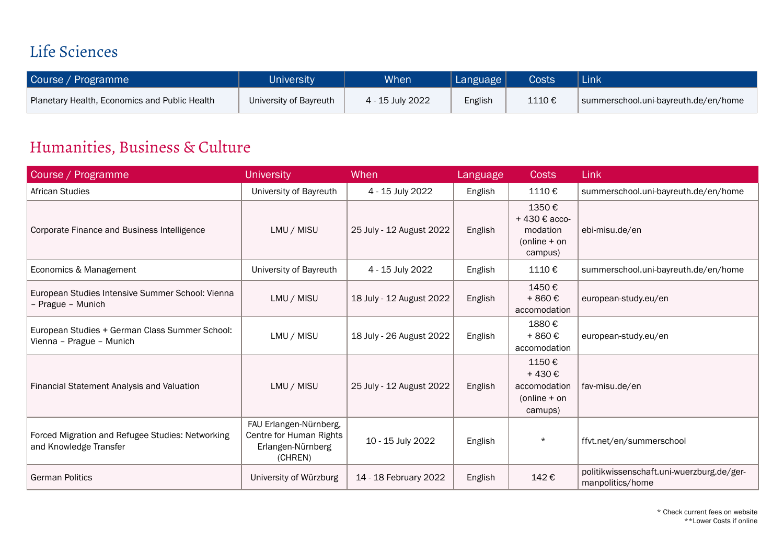## Life Sciences

| Course / Programme                            | <b>University</b>      | <b>When</b>      | Language $ $ | <b>Costs</b> | Link                                 |
|-----------------------------------------------|------------------------|------------------|--------------|--------------|--------------------------------------|
| Planetary Health, Economics and Public Health | University of Bayreuth | 4 - 15 July 2022 | English      | 1110€        | summerschool.uni-bayreuth.de/en/home |

## Humanities, Business & Culture

| Course / Programme                                                         | <b>University</b>                                                                 | When                     | Language | <b>Costs</b>                                                   | Link                                                          |
|----------------------------------------------------------------------------|-----------------------------------------------------------------------------------|--------------------------|----------|----------------------------------------------------------------|---------------------------------------------------------------|
| African Studies                                                            | University of Bayreuth                                                            | 4 - 15 July 2022         | English  | 1110€                                                          | summerschool.uni-bayreuth.de/en/home                          |
| Corporate Finance and Business Intelligence                                | LMU / MISU                                                                        | 25 July - 12 August 2022 | English  | 1350€<br>+430 € acco-<br>modation<br>$(online + on$<br>campus) | ebi-misu.de/en                                                |
| Economics & Management                                                     | University of Bayreuth                                                            | 4 - 15 July 2022         | English  | 1110€                                                          | summerschool.uni-bayreuth.de/en/home                          |
| European Studies Intensive Summer School: Vienna<br>- Prague - Munich      | LMU / MISU                                                                        | 18 July - 12 August 2022 | English  | 1450€<br>$+860 \text{ } \in$<br>accomodation                   | european-study.eu/en                                          |
| European Studies + German Class Summer School:<br>Vienna - Prague - Munich | LMU / MISU                                                                        | 18 July - 26 August 2022 | English  | 1880€<br>$+860 \text{ } \in$<br>accomodation                   | european-study.eu/en                                          |
| Financial Statement Analysis and Valuation                                 | LMU / MISU                                                                        | 25 July - 12 August 2022 | English  | 1150€<br>+430€<br>accomodation<br>$(online + on$<br>camups)    | fav-misu.de/en                                                |
| Forced Migration and Refugee Studies: Networking<br>and Knowledge Transfer | FAU Erlangen-Nürnberg,<br>Centre for Human Rights<br>Erlangen-Nürnberg<br>(CHREN) | 10 - 15 July 2022        | English  | $\star$                                                        | ffvt.net/en/summerschool                                      |
| <b>German Politics</b>                                                     | University of Würzburg                                                            | 14 - 18 February 2022    | English  | 142€                                                           | politikwissenschaft.uni-wuerzburg.de/ger-<br>manpolitics/home |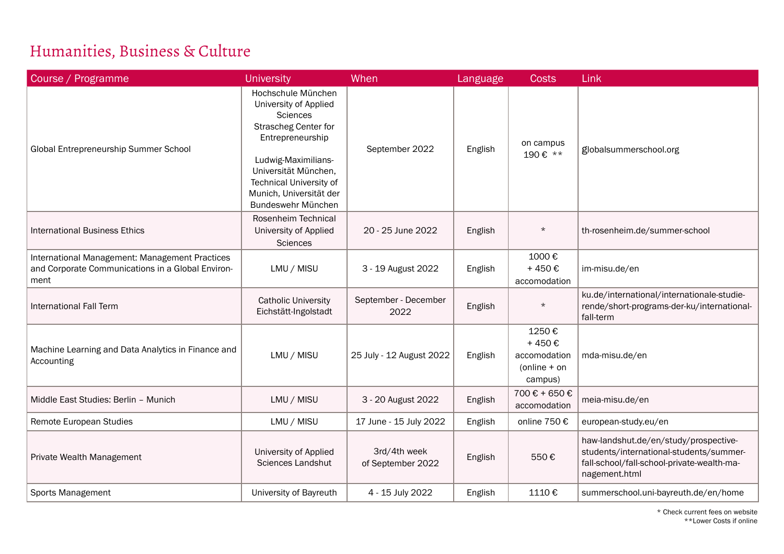## Humanities, Business & Culture

| Course / Programme                                                                                          | <b>University</b>                                                                                                                                                                                                                            | When                              | Language | <b>Costs</b>                                                              | Link                                                                                                                                            |
|-------------------------------------------------------------------------------------------------------------|----------------------------------------------------------------------------------------------------------------------------------------------------------------------------------------------------------------------------------------------|-----------------------------------|----------|---------------------------------------------------------------------------|-------------------------------------------------------------------------------------------------------------------------------------------------|
| Global Entrepreneurship Summer School                                                                       | Hochschule München<br>University of Applied<br><b>Sciences</b><br><b>Strascheg Center for</b><br>Entrepreneurship<br>Ludwig-Maximilians-<br>Universität München,<br>Technical University of<br>Munich, Universität der<br>Bundeswehr München | September 2022                    | English  | on campus<br>190€ **                                                      | globalsummerschool.org                                                                                                                          |
| <b>International Business Ethics</b>                                                                        | Rosenheim Technical<br>University of Applied<br><b>Sciences</b>                                                                                                                                                                              | 20 - 25 June 2022                 | English  | $\star$                                                                   | th-rosenheim.de/summer-school                                                                                                                   |
| International Management: Management Practices<br>and Corporate Communications in a Global Environ-<br>ment | LMU / MISU                                                                                                                                                                                                                                   | 3 - 19 August 2022                | English  | 1000€<br>$+450 \text{ } \in$<br>accomodation                              | im-misu.de/en                                                                                                                                   |
| <b>International Fall Term</b>                                                                              | <b>Catholic University</b><br>Eichstätt-Ingolstadt                                                                                                                                                                                           | September - December<br>2022      | English  | $\star$                                                                   | ku.de/international/internationale-studie-<br>rende/short-programs-der-ku/international-<br>fall-term                                           |
| Machine Learning and Data Analytics in Finance and<br>Accounting                                            | LMU / MISU                                                                                                                                                                                                                                   | 25 July - 12 August 2022          | English  | 1250€<br>$+450 \text{ } \in$<br>accomodation<br>$(online + on$<br>campus) | mda-misu.de/en                                                                                                                                  |
| Middle East Studies: Berlin - Munich                                                                        | LMU / MISU                                                                                                                                                                                                                                   | 3 - 20 August 2022                | English  | 700 € + 650 €<br>accomodation                                             | meia-misu.de/en                                                                                                                                 |
| Remote European Studies                                                                                     | LMU / MISU                                                                                                                                                                                                                                   | 17 June - 15 July 2022            | English  | online 750 €                                                              | european-study.eu/en                                                                                                                            |
| Private Wealth Management                                                                                   | University of Applied<br>Sciences Landshut                                                                                                                                                                                                   | 3rd/4th week<br>of September 2022 | English  | 550€                                                                      | haw-landshut.de/en/study/prospective-<br>students/international-students/summer-<br>fall-school/fall-school-private-wealth-ma-<br>nagement.html |
| Sports Management                                                                                           | University of Bayreuth                                                                                                                                                                                                                       | 4 - 15 July 2022                  | English  | 1110€                                                                     | summerschool.uni-bayreuth.de/en/home                                                                                                            |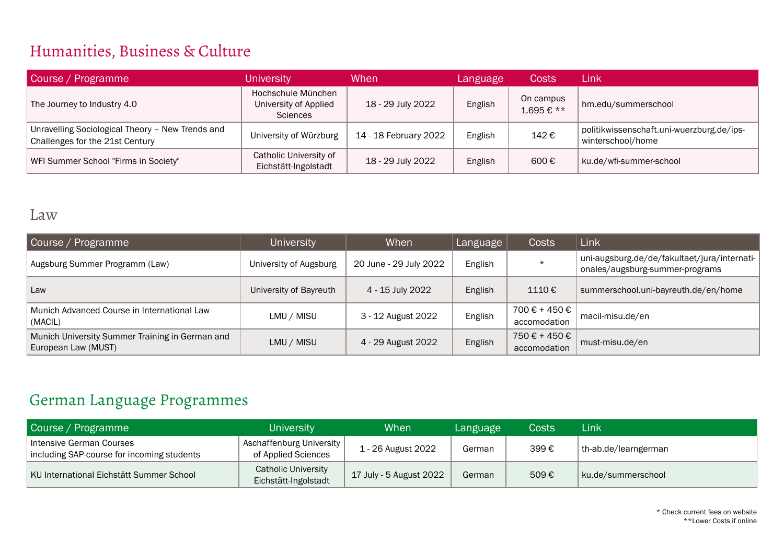#### Humanities, Business & Culture

| Course / Programme                                                                  | <b>University</b>                                              | When                  | Language | Costs                  | Link                                                           |
|-------------------------------------------------------------------------------------|----------------------------------------------------------------|-----------------------|----------|------------------------|----------------------------------------------------------------|
| The Journey to Industry 4.0                                                         | Hochschule München<br>University of Applied<br><b>Sciences</b> | 18 - 29 July 2022     | English  | On campus<br>1.695€ ** | hm.edu/summerschool                                            |
| Unravelling Sociological Theory - New Trends and<br>Challenges for the 21st Century | University of Würzburg                                         | 14 - 18 February 2022 | English  | 142€                   | politikwissenschaft.uni-wuerzburg.de/ips-<br>winterschool/home |
| WFI Summer School "Firms in Society"                                                | Catholic University of<br>Eichstätt-Ingolstadt                 | 18 - 29 July 2022     | English  | 600€                   | ku.de/wfi-summer-school                                        |

#### Law

| Course / Programme                                                     | <b>University</b>      | When                   | Language | Costs                         | Link                                                                            |
|------------------------------------------------------------------------|------------------------|------------------------|----------|-------------------------------|---------------------------------------------------------------------------------|
| Augsburg Summer Programm (Law)                                         | University of Augsburg | 20 June - 29 July 2022 | English  | $\star$                       | uni-augsburg.de/de/fakultaet/jura/internati-<br>onales/augsburg-summer-programs |
| Law                                                                    | University of Bayreuth | 4 - 15 July 2022       | English  | 1110€                         | summerschool.uni-bayreuth.de/en/home                                            |
| Munich Advanced Course in International Law<br>(MACIL)                 | LMU / MISU             | 3 - 12 August 2022     | English  | 700 € + 450 €<br>accomodation | macil-misu.de/en                                                                |
| Munich University Summer Training in German and<br>European Law (MUST) | LMU / MISU             | 4 - 29 August 2022     | English  | 750 € + 450 €<br>accomodation | must-misu.de/en                                                                 |

#### German Language Programmes

| Course / Programme                                                     | <b>University</b>                                  | When                    | Language | Costs | Link                 |
|------------------------------------------------------------------------|----------------------------------------------------|-------------------------|----------|-------|----------------------|
| Intensive German Courses<br>including SAP-course for incoming students | Aschaffenburg University<br>of Applied Sciences    | 1 - 26 August 2022      | German   | 399€  | th-ab.de/learngerman |
| KU International Eichstätt Summer School                               | <b>Catholic University</b><br>Eichstätt-Ingolstadt | 17 July - 5 August 2022 | German   | 509€  | ku.de/summerschool   |